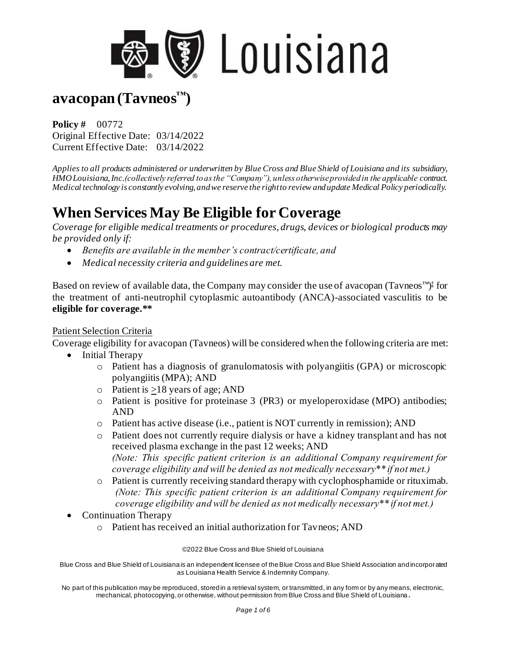

**Policy #** 00772 Original Effective Date: 03/14/2022 Current Effective Date: 03/14/2022

*Applies to all products administered or underwritten by Blue Cross and Blue Shield of Louisiana and its subsidiary, HMO Louisiana, Inc.(collectively referred to as the "Company"), unless otherwise provided in the applicable contract. Medical technology is constantly evolving, and we reserve the right to review and update Medical Policy periodically.*

# **When Services May Be Eligible for Coverage**

*Coverage for eligible medical treatments or procedures, drugs, devices or biological products may be provided only if:*

- *Benefits are available in the member's contract/certificate, and*
- *Medical necessity criteria and guidelines are met.*

Based on review of available data, the Company may consider the use of avacopan (Tavneos<sup>™)‡</sup> for the treatment of anti-neutrophil cytoplasmic autoantibody (ANCA)-associated vasculitis to be **eligible for coverage.\*\***

#### Patient Selection Criteria

Coverage eligibility for avacopan (Tavneos) will be considered when the following criteria are met:

- Initial Therapy
	- o Patient has a diagnosis of granulomatosis with polyangiitis (GPA) or microscopic polyangiitis (MPA); AND
	- o Patient is >18 years of age; AND
	- o Patient is positive for proteinase 3 (PR3) or myeloperoxidase (MPO) antibodies; AND
	- o Patient has active disease (i.e., patient is NOT currently in remission); AND
	- o Patient does not currently require dialysis or have a kidney transplant and has not received plasma exchange in the past 12 weeks; AND *(Note: This specific patient criterion is an additional Company requirement for coverage eligibility and will be denied as not medically necessary\*\* if not met.)*
	- o Patient is currently receiving standard therapy with cyclophosphamide or rituximab. *(Note: This specific patient criterion is an additional Company requirement for coverage eligibility and will be denied as not medically necessary\*\* if not met.)*
- Continuation Therapy
	- o Patient has received an initial authorization for Tavneos; AND

©2022 Blue Cross and Blue Shield of Louisiana

Blue Cross and Blue Shield of Louisiana is an independent licensee of the Blue Cross and Blue Shield Association and incorporated as Louisiana Health Service & Indemnity Company.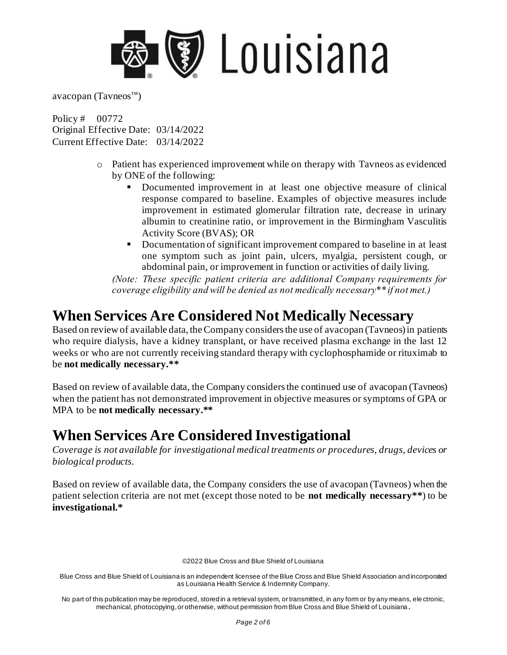

Policy # 00772 Original Effective Date: 03/14/2022 Current Effective Date: 03/14/2022

- o Patient has experienced improvement while on therapy with Tavneos as evidenced by ONE of the following:
	- Documented improvement in at least one objective measure of clinical response compared to baseline. Examples of objective measures include improvement in estimated glomerular filtration rate, decrease in urinary albumin to creatinine ratio, or improvement in the Birmingham Vasculitis Activity Score (BVAS); OR
	- Documentation of significant improvement compared to baseline in at least one symptom such as joint pain, ulcers, myalgia, persistent cough, or abdominal pain, or improvement in function or activities of daily living.

*(Note: These specific patient criteria are additional Company requirements for coverage eligibility and will be denied as not medically necessary\*\* if not met.)*

## **When Services Are Considered Not Medically Necessary**

Based on review of available data, the Company considers the use of avacopan (Tavneos) in patients who require dialysis, have a kidney transplant, or have received plasma exchange in the last 12 weeks or who are not currently receiving standard therapy with cyclophosphamide or rituximab to be **not medically necessary.\*\***

Based on review of available data, the Company considers the continued use of avacopan (Tavneos) when the patient has not demonstrated improvement in objective measures or symptoms of GPA or MPA to be **not medically necessary.\*\***

#### **When Services Are Considered Investigational**

*Coverage is not available for investigational medical treatments or procedures, drugs, devices or biological products.*

Based on review of available data, the Company considers the use of avacopan (Tavneos) when the patient selection criteria are not met (except those noted to be **not medically necessary\*\***) to be **investigational.\***

©2022 Blue Cross and Blue Shield of Louisiana

Blue Cross and Blue Shield of Louisiana is an independent licensee of the Blue Cross and Blue Shield Association and incorporated as Louisiana Health Service & Indemnity Company.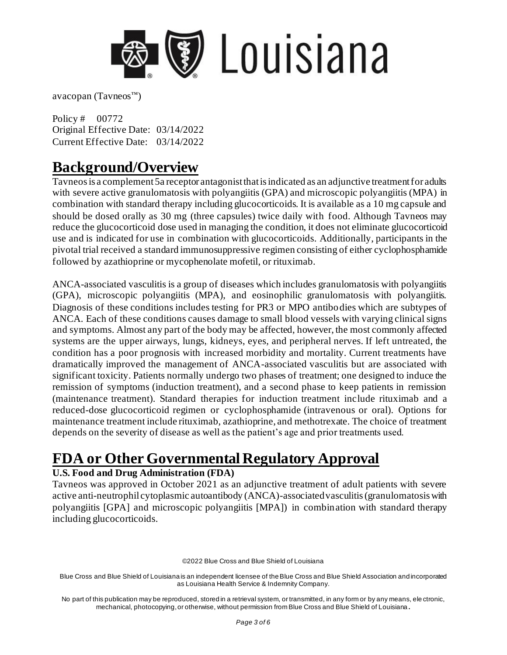

Policy # 00772 Original Effective Date: 03/14/2022 Current Effective Date: 03/14/2022

### **Background/Overview**

Tavneos is a complement 5a receptor antagonist that is indicated as an adjunctive treatment for adults with severe active granulomatosis with polyangiitis (GPA) and microscopic polyangiitis (MPA) in combination with standard therapy including glucocorticoids. It is available as a 10 mg capsule and should be dosed orally as 30 mg (three capsules) twice daily with food. Although Tavneos may reduce the glucocorticoid dose used in managing the condition, it does not eliminate glucocorticoid use and is indicated for use in combination with glucocorticoids. Additionally, participants in the pivotal trial received a standard immunosuppressive regimen consisting of either cyclophosphamide followed by azathioprine or mycophenolate mofetil, or rituximab.

ANCA-associated vasculitis is a group of diseases which includes granulomatosis with polyangiitis (GPA), microscopic polyangiitis (MPA), and eosinophilic granulomatosis with polyangiitis. Diagnosis of these conditions includes testing for PR3 or MPO antibodies which are subtypes of ANCA. Each of these conditions causes damage to small blood vessels with varying clinical signs and symptoms. Almost any part of the body may be affected, however, the most commonly affected systems are the upper airways, lungs, kidneys, eyes, and peripheral nerves. If left untreated, the condition has a poor prognosis with increased morbidity and mortality. Current treatments have dramatically improved the management of ANCA-associated vasculitis but are associated with significant toxicity. Patients normally undergo two phases of treatment; one designed to induce the remission of symptoms (induction treatment), and a second phase to keep patients in remission (maintenance treatment). Standard therapies for induction treatment include rituximab and a reduced-dose glucocorticoid regimen or cyclophosphamide (intravenous or oral). Options for maintenance treatment include rituximab, azathioprine, and methotrexate. The choice of treatment depends on the severity of disease as well as the patient's age and prior treatments used.

## **FDA or Other Governmental Regulatory Approval**

#### **U.S. Food and Drug Administration (FDA)**

Tavneos was approved in October 2021 as an adjunctive treatment of adult patients with severe active anti-neutrophil cytoplasmic autoantibody (ANCA)-associated vasculitis (granulomatosis with polyangiitis [GPA] and microscopic polyangiitis [MPA]) in combination with standard therapy including glucocorticoids.

©2022 Blue Cross and Blue Shield of Louisiana

Blue Cross and Blue Shield of Louisiana is an independent licensee of the Blue Cross and Blue Shield Association and incorporated as Louisiana Health Service & Indemnity Company.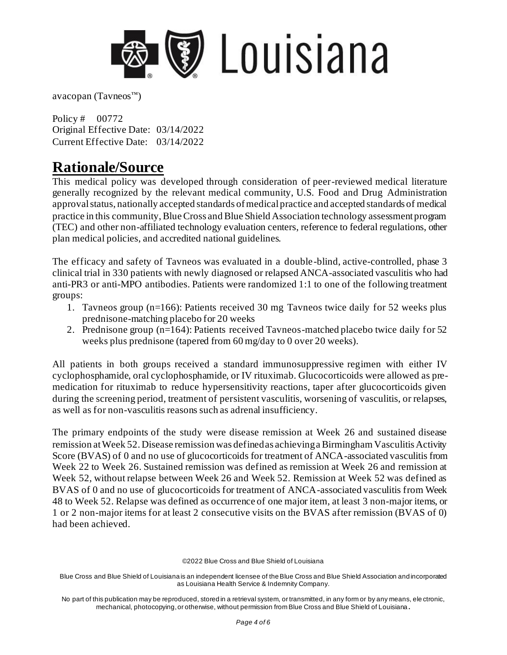

Policy # 00772 Original Effective Date: 03/14/2022 Current Effective Date: 03/14/2022

#### **Rationale/Source**

This medical policy was developed through consideration of peer-reviewed medical literature generally recognized by the relevant medical community, U.S. Food and Drug Administration approval status, nationally accepted standards of medical practice and accepted standards of medical practice in this community, Blue Cross and Blue Shield Association technology assessment program (TEC) and other non-affiliated technology evaluation centers, reference to federal regulations, other plan medical policies, and accredited national guidelines.

The efficacy and safety of Tavneos was evaluated in a double-blind, active-controlled, phase 3 clinical trial in 330 patients with newly diagnosed or relapsed ANCA-associated vasculitis who had anti-PR3 or anti-MPO antibodies. Patients were randomized 1:1 to one of the following treatment groups:

- 1. Tavneos group (n=166): Patients received 30 mg Tavneos twice daily for 52 weeks plus prednisone-matching placebo for 20 weeks
- 2. Prednisone group (n=164): Patients received Tavneos-matched placebo twice daily for 52 weeks plus prednisone (tapered from 60 mg/day to 0 over 20 weeks).

All patients in both groups received a standard immunosuppressive regimen with either IV cyclophosphamide, oral cyclophosphamide, or IV rituximab. Glucocorticoids were allowed as premedication for rituximab to reduce hypersensitivity reactions, taper after glucocorticoids given during the screening period, treatment of persistent vasculitis, worsening of vasculitis, or relapses, as well as for non-vasculitis reasons such as adrenal insufficiency.

The primary endpoints of the study were disease remission at Week 26 and sustained disease remission at Week 52. Disease remission was defined as achieving a Birmingham Vasculitis Activity Score (BVAS) of 0 and no use of glucocorticoids for treatment of ANCA-associated vasculitis from Week 22 to Week 26. Sustained remission was defined as remission at Week 26 and remission at Week 52, without relapse between Week 26 and Week 52. Remission at Week 52 was defined as BVAS of 0 and no use of glucocorticoids for treatment of ANCA-associated vasculitis from Week 48 to Week 52. Relapse was defined as occurrence of one major item, at least 3 non-major items, or 1 or 2 non-major items for at least 2 consecutive visits on the BVAS after remission (BVAS of 0) had been achieved.

©2022 Blue Cross and Blue Shield of Louisiana

Blue Cross and Blue Shield of Louisiana is an independent licensee of the Blue Cross and Blue Shield Association and incorporated as Louisiana Health Service & Indemnity Company.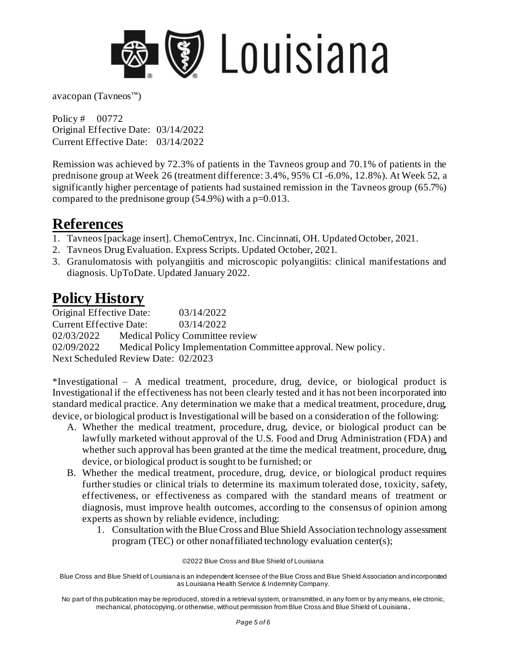

Policy # 00772 Original Effective Date: 03/14/2022 Current Effective Date: 03/14/2022

Remission was achieved by 72.3% of patients in the Tavneos group and 70.1% of patients in the prednisone group at Week 26 (treatment difference: 3.4%, 95% CI -6.0%, 12.8%). At Week 52, a significantly higher percentage of patients had sustained remission in the Tavneos group (65.7%) compared to the prednisone group  $(54.9\%)$  with a p=0.013.

#### **References**

- 1. Tavneos [package insert]. ChemoCentryx, Inc. Cincinnati, OH. Updated October, 2021.
- 2. Tavneos Drug Evaluation. Express Scripts. Updated October, 2021.
- 3. Granulomatosis with polyangiitis and microscopic polyangiitis: clinical manifestations and diagnosis. UpToDate. Updated January 2022.

## **Policy History**

Original Effective Date: 03/14/2022 Current Effective Date: 03/14/2022 02/03/2022 Medical Policy Committee review 02/09/2022 Medical Policy Implementation Committee approval. New policy. Next Scheduled Review Date: 02/2023

\*Investigational – A medical treatment, procedure, drug, device, or biological product is Investigational if the effectiveness has not been clearly tested and it has not been incorporated into standard medical practice. Any determination we make that a medical treatment, procedure, drug, device, or biological product is Investigational will be based on a consideration of the following:

- A. Whether the medical treatment, procedure, drug, device, or biological product can be lawfully marketed without approval of the U.S. Food and Drug Administration (FDA) and whether such approval has been granted at the time the medical treatment, procedure, drug, device, or biological product is sought to be furnished; or
- B. Whether the medical treatment, procedure, drug, device, or biological product requires further studies or clinical trials to determine its maximum tolerated dose, toxicity, safety, effectiveness, or effectiveness as compared with the standard means of treatment or diagnosis, must improve health outcomes, according to the consensus of opinion among experts as shown by reliable evidence, including:
	- 1. Consultation with the Blue Cross and Blue Shield Association technology assessment program (TEC) or other nonaffiliated technology evaluation center(s);

©2022 Blue Cross and Blue Shield of Louisiana

Blue Cross and Blue Shield of Louisiana is an independent licensee of the Blue Cross and Blue Shield Association and incorporated as Louisiana Health Service & Indemnity Company.

No part of this publication may be reproduced, stored in a retrieval system, or transmitted, in any form or by any means, ele ctronic, mechanical, photocopying, or otherwise, without permission from Blue Cross and Blue Shield of Louisiana **.**